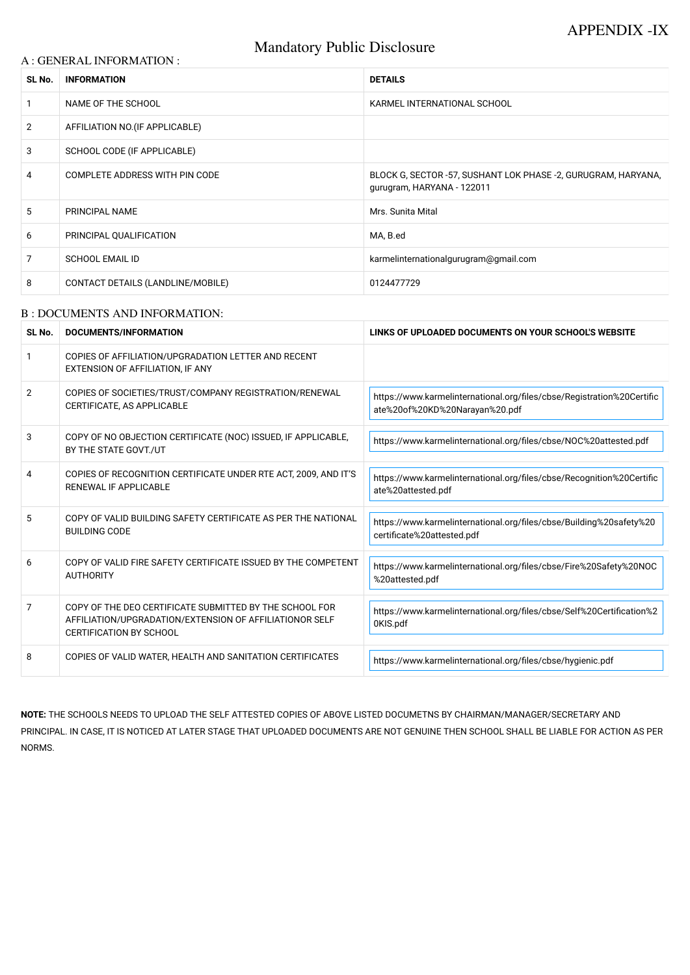# Mandatory Public Disclosure

#### A : GENERAL INFORMATION :

| SL No.         | <b>INFORMATION</b>                    | <b>DETAILS</b>                                                                              |
|----------------|---------------------------------------|---------------------------------------------------------------------------------------------|
|                | NAME OF THE SCHOOL                    | KARMEL INTERNATIONAL SCHOOL                                                                 |
| 2              | AFFILIATION NO. (IF APPLICABLE)       |                                                                                             |
| 3              | SCHOOL CODE (IF APPLICABLE)           |                                                                                             |
| 4              | <b>COMPLETE ADDRESS WITH PIN CODE</b> | BLOCK G, SECTOR -57, SUSHANT LOK PHASE -2, GURUGRAM, HARYANA,<br>gurugram, HARYANA - 122011 |
| 5              | <b>PRINCIPAL NAME</b>                 | Mrs. Sunita Mital                                                                           |
| 6              | PRINCIPAL QUALIFICATION               | MA, B.ed                                                                                    |
| $\overline{7}$ | <b>SCHOOL EMAIL ID</b>                | karmelinternationalgurugram@gmail.com                                                       |
| 8              | CONTACT DETAILS (LANDLINE/MOBILE)     | 0124477729                                                                                  |

#### B : DOCUMENTS AND INFORMATION:

| SL No.         | <b>DOCUMENTS/INFORMATION</b>                                                                                                                  | LINKS OF UPLOADED DOCUMENTS ON YOUR SCHOOL'S WEBSITE                                                     |
|----------------|-----------------------------------------------------------------------------------------------------------------------------------------------|----------------------------------------------------------------------------------------------------------|
|                | COPIES OF AFFILIATION/UPGRADATION LETTER AND RECENT<br>EXTENSION OF AFFILIATION, IF ANY                                                       |                                                                                                          |
| $\overline{2}$ | COPIES OF SOCIETIES/TRUST/COMPANY REGISTRATION/RENEWAL<br>CERTIFICATE, AS APPLICABLE                                                          | https://www.karmelinternational.org/files/cbse/Registration%20Certific<br>ate%20of%20KD%20Narayan%20.pdf |
| 3              | COPY OF NO OBJECTION CERTIFICATE (NOC) ISSUED, IF APPLICABLE,<br>BY THE STATE GOVT./UT                                                        | https://www.karmelinternational.org/files/cbse/NOC%20attested.pdf                                        |
| 4              | COPIES OF RECOGNITION CERTIFICATE UNDER RTE ACT, 2009, AND IT'S<br>RENEWAL IF APPLICABLE                                                      | https://www.karmelinternational.org/files/cbse/Recognition%20Certific<br>ate%20attested.pdf              |
| 5              | COPY OF VALID BUILDING SAFETY CERTIFICATE AS PER THE NATIONAL<br><b>BUILDING CODE</b>                                                         | https://www.karmelinternational.org/files/cbse/Building%20safety%20<br>certificate%20attested.pdf        |
| 6              | COPY OF VALID FIRE SAFETY CERTIFICATE ISSUED BY THE COMPETENT<br><b>AUTHORITY</b>                                                             | https://www.karmelinternational.org/files/cbse/Fire%20Safety%20NOC<br>%20attested.pdf                    |
| $\overline{7}$ | COPY OF THE DEO CERTIFICATE SUBMITTED BY THE SCHOOL FOR<br>AFFILIATION/UPGRADATION/EXTENSION OF AFFILIATIONOR SELF<br>CERTIFICATION BY SCHOOL | https://www.karmelinternational.org/files/cbse/Self%20Certification%2<br>0KIS.pdf                        |
| 8              | COPIES OF VALID WATER, HEALTH AND SANITATION CERTIFICATES                                                                                     | https://www.karmelinternational.org/files/cbse/hygienic.pdf                                              |

**NOTE:** THE SCHOOLS NEEDS TO UPLOAD THE SELF ATTESTED COPIES OF ABOVE LISTED DOCUMETNS BY CHAIRMAN/MANAGER/SECRETARY AND PRINCIPAL. IN CASE, IT IS NOTICED AT LATER STAGE THAT UPLOADED DOCUMENTS ARE NOT GENUINE THEN SCHOOL SHALL BE LIABLE FOR ACTION AS PER NORMS.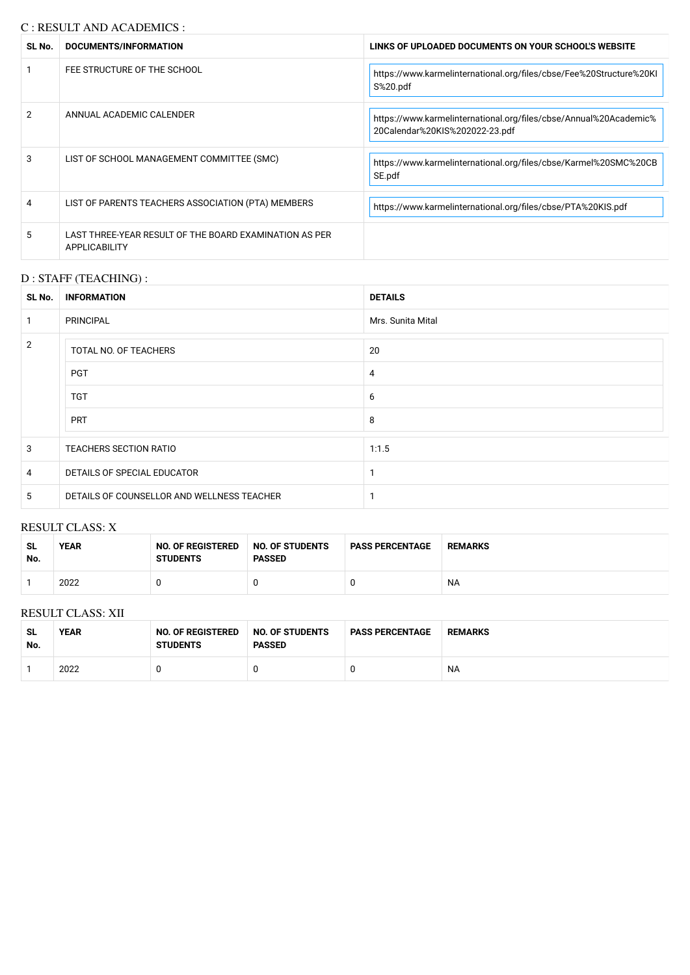## C : RESULT AND ACADEMICS :

| SL No. | DOCUMENTS/INFORMATION                                                   | LINKS OF UPLOADED DOCUMENTS ON YOUR SCHOOL'S WEBSITE                                                |
|--------|-------------------------------------------------------------------------|-----------------------------------------------------------------------------------------------------|
|        | FEE STRUCTURE OF THE SCHOOL                                             | https://www.karmelinternational.org/files/cbse/Fee%20Structure%20KI<br>S%20.pdf                     |
| 2      | ANNUAL ACADEMIC CALENDER                                                | https://www.karmelinternational.org/files/cbse/Annual%20Academic%<br>20Calendar%20KIS%202022-23.pdf |
| 3      | LIST OF SCHOOL MANAGEMENT COMMITTEE (SMC)                               | https://www.karmelinternational.org/files/cbse/Karmel%20SMC%20CB<br>SE.pdf                          |
| 4      | LIST OF PARENTS TEACHERS ASSOCIATION (PTA) MEMBERS                      | https://www.karmelinternational.org/files/cbse/PTA%20KIS.pdf                                        |
| 5      | LAST THREE-YEAR RESULT OF THE BOARD EXAMINATION AS PER<br>APPLICABILITY |                                                                                                     |

## D : STAFF (TEACHING) :

| SL No.         | <b>INFORMATION</b>                         | <b>DETAILS</b>    |
|----------------|--------------------------------------------|-------------------|
|                | <b>PRINCIPAL</b>                           | Mrs. Sunita Mital |
| 2              | TOTAL NO. OF TEACHERS                      | 20                |
|                | <b>PGT</b>                                 | 4                 |
|                | <b>TGT</b>                                 | 6                 |
|                | <b>PRT</b>                                 | 8                 |
| 3              | TEACHERS SECTION RATIO                     | 1:1.5             |
| $\overline{4}$ | DETAILS OF SPECIAL EDUCATOR                |                   |
| 5              | DETAILS OF COUNSELLOR AND WELLNESS TEACHER |                   |

#### RESULT CLASS: X

| -SL<br>No. | <b>YEAR</b> | <b>NO. OF REGISTERED</b><br><b>STUDENTS</b> | NO. OF STUDENTS<br><b>PASSED</b> | <b>PASS PERCENTAGE</b> | <b>REMARKS</b> |
|------------|-------------|---------------------------------------------|----------------------------------|------------------------|----------------|
|            | 2022        |                                             |                                  |                        | <b>NA</b>      |

#### RESULT CLASS: XII

| SL<br>No. | <b>YEAR</b> | <b>NO. OF REGISTERED</b><br><b>STUDENTS</b> | NO. OF STUDENTS<br><b>PASSED</b> | <b>PASS PERCENTAGE</b> | <b>REMARKS</b> |
|-----------|-------------|---------------------------------------------|----------------------------------|------------------------|----------------|
|           | 2022        |                                             |                                  |                        | ΝA             |